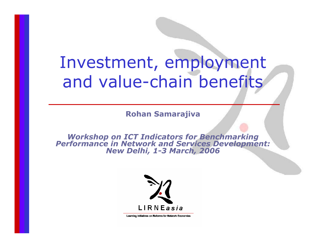# Investment, employment and value-chain benefits

**Rohan Samarajiva**

*Workshop on ICT Indicators for Benchmarking Performance in Network and Services Development: New Delhi, 1-3 March, 2006*



Learning Initiatives on Reforms for Network Economies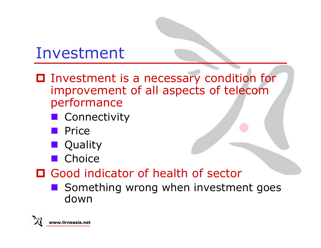## Investment

- Investment is a necessary condition for improvement of all aspects of telecom performance
	- **E** Connectivity
	- **Price**
	- **Quality**
	- **n** Choice
- Good indicator of health of sector
	- Something wrong when investment goes down

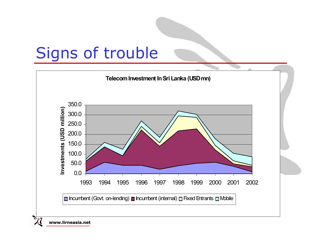# Signs of trouble



**www.lirneasia.net**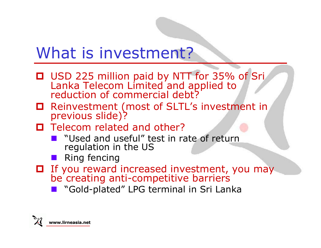## What is investment?

- USD 225 million paid by NTT for 35% of Sri Lanka Telecom Limited and applied to reduction of commercial debt?
- Reinvestment (most of SLTL's investment in previous slide)?
- $\Box$  Telecom related and other?
	- "Used and useful" test in rate of return regulation in the US
	- **Ring fencing**
- If you reward increased investment, you may be creating anti-competitive barriers
	- **n** "Gold-plated" LPG terminal in Sri Lanka

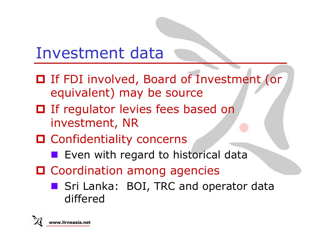## Investment data

- If FDI involved, Board of Investment (or equivalent) may be source
- $\Box$  If regulator levies fees based on investment, NR
- **O** Confidentiality concerns
	- **Exen with regard to historical data**
- **O** Coordination among agencies
	- Sri Lanka: BOI, TRC and operator data differed

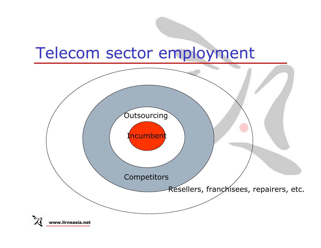### Telecom sector employment



**www.lirneasia.net**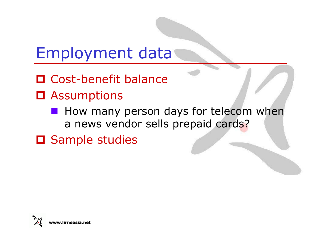## Employment data

- □ Cost-benefit balance
- **O** Assumptions
	- **How many person days for telecom when** a news vendor sells prepaid cards?
- **O** Sample studies

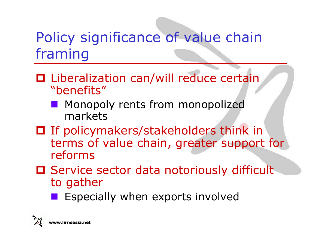### Policy significance of value chain framing

- **□** Liberalization can/will reduce certain "benefits"
	- **STATE**  Monopoly rents from monopolized markets
- If policymakers/stakeholders think in terms of value chain, greater support for reforms
- **O** Service sector data notoriously difficult to gather
	- Especially when exports involved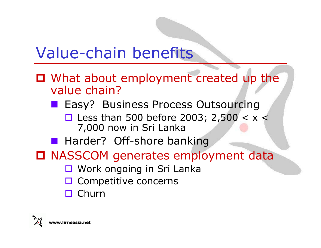## Value-chain benefits

- What about employment created up the value chain?
	- **Easy? Business Process Outsourcing** □ Less than 500 before 2003; 2,500 <  $x$  < 7,000 now in Sri Lanka
	- **Harder? Off-shore banking**
- NASSCOM generates employment data
	- Work ongoing in Sri Lanka
	- $\square$  Competitive concerns
	- □ Churn

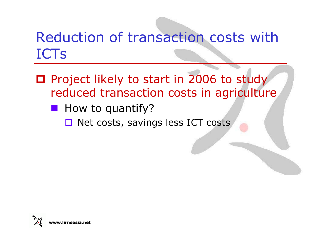### Reduction of transaction costs with ICTs

- **O** Project likely to start in 2006 to study reduced transaction costs in agriculture
	- **How to quantify?** 
		- $\Box$  Net costs, savings less ICT costs

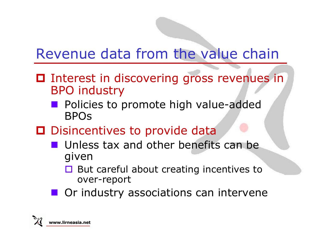#### Revenue data from the value chain

- $\Box$  Interest in discovering gross revenues in BPO industry
	- **STATE**  Policies to promote high value-added BPOs
- **D** Disincentives to provide data
	- **Unless tax and other benefits can be** given
		- $\Box$  But careful about creating incentives to over-report
	- **Or industry associations can intervene**

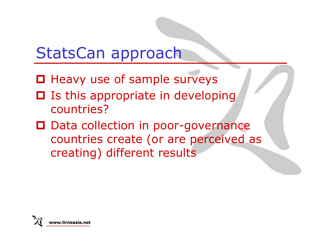## StatsCan approach

- $\Box$  Heavy use of sample surveys
- □ Is this appropriate in developing countries?
- □ Data collection in poor-governance countries create (or are perceived as creating) different results

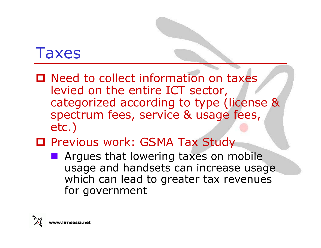#### Taxes

- Need to collect information on taxes levied on the entire ICT sector, categorized according to type (license & spectrum fees, service & usage fees, etc.)
- Previous work: GSMA Tax Study
	- **Argues that lowering taxes on mobile** usage and handsets can increase usage which can lead to greater tax revenues for government